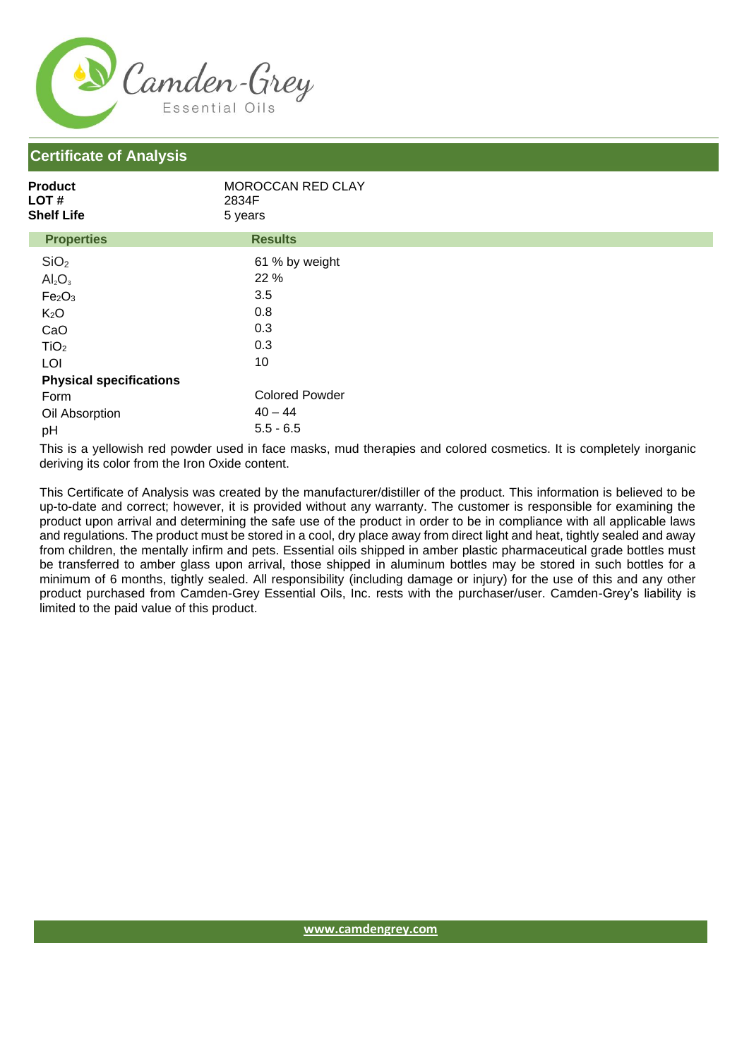

## **Certificate of Analysis**

| Product<br><b>LOT#</b><br><b>Shelf Life</b> | MOROCCAN RED CLAY<br>2834F<br>5 years |  |
|---------------------------------------------|---------------------------------------|--|
| <b>Properties</b>                           | <b>Results</b>                        |  |
| SiO <sub>2</sub>                            | 61 % by weight                        |  |
| $Al_2O_3$                                   | 22 %                                  |  |
| Fe <sub>2</sub> O <sub>3</sub>              | 3.5                                   |  |
| K <sub>2</sub> O                            | 0.8                                   |  |
| CaO                                         | 0.3                                   |  |
| TiO <sub>2</sub>                            | 0.3                                   |  |
| LOI                                         | 10                                    |  |
| <b>Physical specifications</b>              |                                       |  |
| Form                                        | <b>Colored Powder</b>                 |  |
| Oil Absorption                              | $40 - 44$                             |  |
| pH                                          | $5.5 - 6.5$                           |  |

This is a yellowish red powder used in face masks, mud therapies and colored cosmetics. It is completely inorganic deriving its color from the Iron Oxide content.

This Certificate of Analysis was created by the manufacturer/distiller of the product. This information is believed to be up-to-date and correct; however, it is provided without any warranty. The customer is responsible for examining the product upon arrival and determining the safe use of the product in order to be in compliance with all applicable laws and regulations. The product must be stored in a cool, dry place away from direct light and heat, tightly sealed and away from children, the mentally infirm and pets. Essential oils shipped in amber plastic pharmaceutical grade bottles must be transferred to amber glass upon arrival, those shipped in aluminum bottles may be stored in such bottles for a minimum of 6 months, tightly sealed. All responsibility (including damage or injury) for the use of this and any other product purchased from Camden-Grey Essential Oils, Inc. rests with the purchaser/user. Camden-Grey's liability is limited to the paid value of this product.